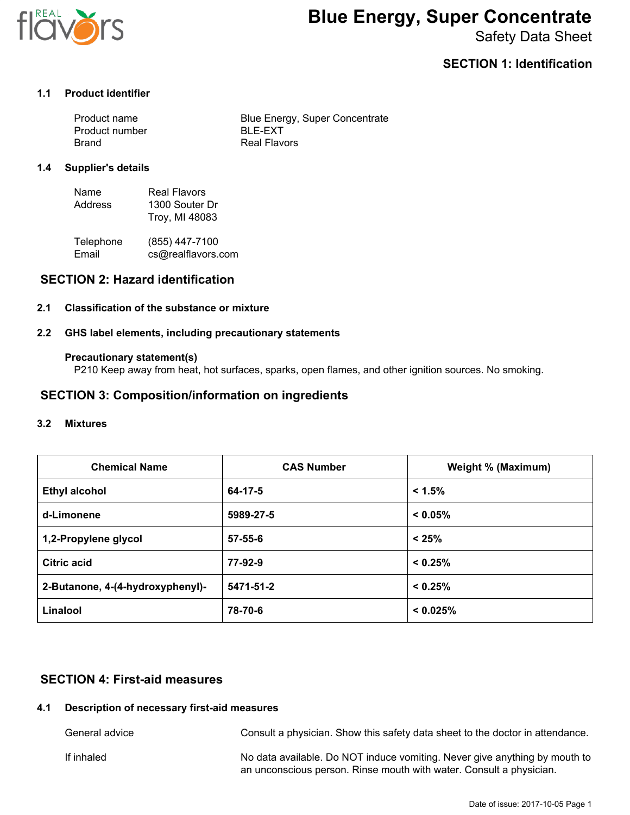

# **Blue Energy, Super Concentrate**

Safety Data Sheet

# **SECTION 1: Identification**

## **1.1 Product identifier**

| Product name   | Blue Energy, Super Concentrate |
|----------------|--------------------------------|
| Product number | BLE-FXT                        |
| Brand          | Real Flavors                   |

#### **1.4 Supplier's details**

| Name    | Real Flavors   |
|---------|----------------|
| Address | 1300 Souter Dr |
|         | Troy, MI 48083 |

| Telephone | (855) 447-7100     |
|-----------|--------------------|
| Email     | cs@realflavors.com |

## **SECTION 2: Hazard identification**

### **2.1 Classification of the substance or mixture**

#### **2.2 GHS label elements, including precautionary statements**

#### **Precautionary statement(s)**

P210 Keep away from heat, hot surfaces, sparks, open flames, and other ignition sources. No smoking.

# **SECTION 3: Composition/information on ingredients**

#### **3.2 Mixtures**

| <b>Chemical Name</b>             | <b>CAS Number</b> | <b>Weight % (Maximum)</b> |
|----------------------------------|-------------------|---------------------------|
| <b>Ethyl alcohol</b>             | 64-17-5           | < 1.5%                    |
| d-Limonene                       | 5989-27-5         | < 0.05%                   |
| 1,2-Propylene glycol             | $57 - 55 - 6$     | < 25%                     |
| <b>Citric acid</b>               | 77-92-9           | < 0.25%                   |
| 2-Butanone, 4-(4-hydroxyphenyl)- | 5471-51-2         | < 0.25%                   |
| Linalool                         | 78-70-6           | < 0.025%                  |

# **SECTION 4: First-aid measures**

## **4.1 Description of necessary first-aid measures**

General advice **Consult a physician.** Show this safety data sheet to the doctor in attendance. If inhaled **No data available. Do NOT induce vomiting. Never give anything by mouth to** an unconscious person. Rinse mouth with water. Consult a physician.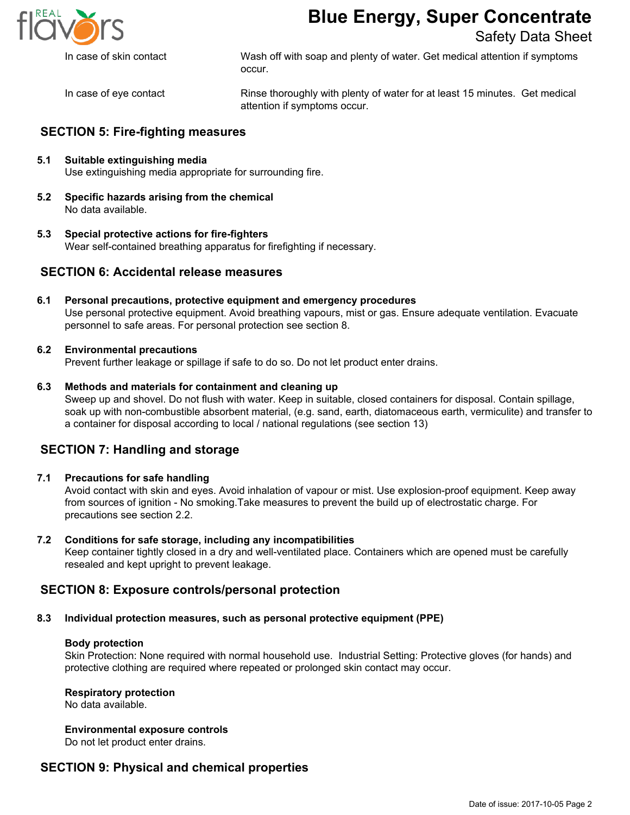

# **Blue Energy, Super Concentrate**

# Safety Data Sheet

In case of skin contact Wash off with soap and plenty of water. Get medical attention if symptoms occur.

In case of eye contact Rinse thoroughly with plenty of water for at least 15 minutes. Get medical attention if symptoms occur.

# **SECTION 5: Fire-fighting measures**

- **5.1 Suitable extinguishing media** Use extinguishing media appropriate for surrounding fire.
- **5.2 Specific hazards arising from the chemical** No data available.
- **5.3 Special protective actions for fire-fighters** Wear self-contained breathing apparatus for firefighting if necessary.

# **SECTION 6: Accidental release measures**

**6.1 Personal precautions, protective equipment and emergency procedures** Use personal protective equipment. Avoid breathing vapours, mist or gas. Ensure adequate ventilation. Evacuate personnel to safe areas. For personal protection see section 8.

### **6.2 Environmental precautions**

Prevent further leakage or spillage if safe to do so. Do not let product enter drains.

### **6.3 Methods and materials for containment and cleaning up**

Sweep up and shovel. Do not flush with water. Keep in suitable, closed containers for disposal. Contain spillage, soak up with non-combustible absorbent material, (e.g. sand, earth, diatomaceous earth, vermiculite) and transfer to a container for disposal according to local / national regulations (see section 13)

# **SECTION 7: Handling and storage**

#### **7.1 Precautions for safe handling**

Avoid contact with skin and eyes. Avoid inhalation of vapour or mist. Use explosion-proof equipment. Keep away from sources of ignition - No smoking.Take measures to prevent the build up of electrostatic charge. For precautions see section 2.2.

#### **7.2 Conditions for safe storage, including any incompatibilities**

Keep container tightly closed in a dry and well-ventilated place. Containers which are opened must be carefully resealed and kept upright to prevent leakage.

## **SECTION 8: Exposure controls/personal protection**

## **8.3 Individual protection measures, such as personal protective equipment (PPE)**

#### **Body protection**

Skin Protection: None required with normal household use. Industrial Setting: Protective gloves (for hands) and protective clothing are required where repeated or prolonged skin contact may occur.

#### **Respiratory protection**

No data available.

# **Environmental exposure controls**

Do not let product enter drains.

## **SECTION 9: Physical and chemical properties**